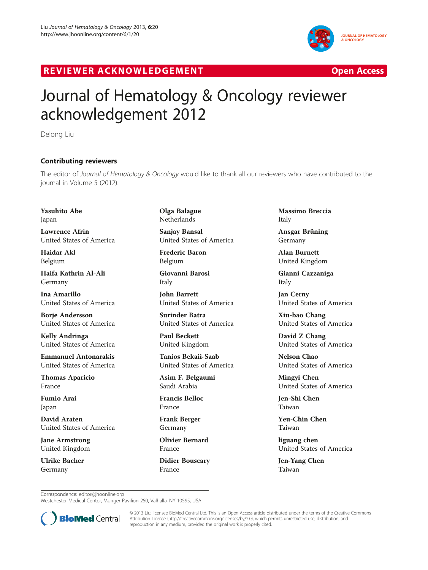

## R EVI EW E R ACKNOW L EDG EM EN T Open Access



## Journal of Hematology & Oncology reviewer acknowledgement 2012

Delong Liu

## Contributing reviewers

The editor of *Journal of Hematology & Oncology w*ould like to thank all our reviewers who have contributed to the<br>iournal in Volume 5 (2012) journal in Volume 5 (2012).

Yasuhito Abe Japan

Lawrence Afrin United States of America

Haidar Akl Belgium

Haifa Kathrin Al-Ali Germany

Ina Amarillo United States of America

Borje Andersson United States of America

Kelly Andringa United States of America

Emmanuel Antonarakis United States of America

Thomas Aparicio France

Fumio Arai Japan

David Araten United States of America

Jane Armstrong United Kingdom

Ulrike Bacher Germany

Olga Balague Netherlands

Sanjay Bansal United States of America

Frederic Baron Belgium

Giovanni Barosi Italy

John Barrett United States of America

Surinder Batra United States of America

Paul Beckett United Kingdom

Tanios Bekaii-Saab United States of America

Asim F. Belgaumi Saudi Arabia

Francis Belloc France

Frank Berger Germany

Olivier Bernard France

Didier Bouscary France

Massimo Breccia Italy

Ansgar Brüning Germany

Alan Burnett United Kingdom

Gianni Cazzaniga Italy

Jan Cerny United States of America

Xiu-bao Chang United States of America

David Z Chang United States of America

Nelson Chao United States of America

Mingyi Chen United States of America

Jen-Shi Chen Taiwan

Yeu-Chin Chen Taiwan

liguang chen United States of America

Jen-Yang Chen Taiwan

Correspondence: [editor@jhoonline.org](mailto:editor@jhoonline.org)

Westchester Medical Center, Munger Pavilion 250, Valhalla, NY 10595, USA



© 2013 Liu; licensee BioMed Central Ltd. This is an Open Access article distributed under the terms of the Creative Commons Attribution License (<http://creativecommons.org/licenses/by/2.0>), which permits unrestricted use, distribution, and reproduction in any medium, provided the original work is properly cited.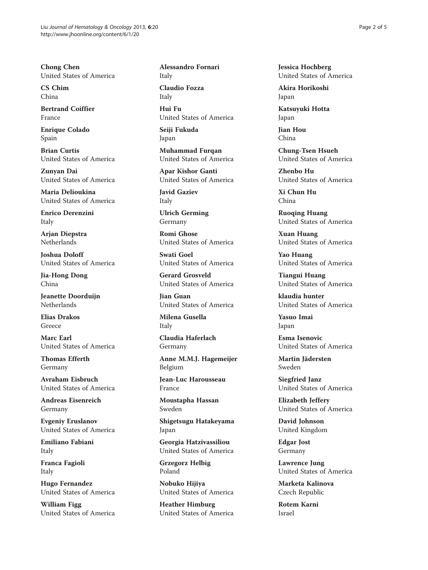Chong Chen United States of America

CS Chim China

Bertrand Coiffier France

Enrique Colado Spain

Brian Curtis United States of America

Zunyan Dai United States of America

Maria Delioukina United States of America

Enrico Derenzini Italy

Arjan Diepstra Netherlands

Joshua Doloff United States of America

Jia-Hong Dong China

Jeanette Doorduijn Netherlands

Elias Drakos Greece

Marc Earl United States of America

Thomas Efferth Germany

Avraham Eisbruch United States of America

Andreas Eisenreich Germany

Evgeniy Eruslanov United States of America

Emiliano Fabiani Italy

Franca Fagioli Italy

Hugo Fernandez United States of America

William Figg United States of America Alessandro Fornari Italy

Claudio Fozza Italy

Hui Fu United States of America

Seiji Fukuda Japan

Muhammad Furqan United States of America

Apar Kishor Ganti United States of America

Javid Gaziev Italy

Ulrich Germing Germany

Romi Ghose United States of America

Swati Goel United States of America

Gerard Grosveld United States of America

Jian Guan United States of America

Milena Gusella Italy

Claudia Haferlach Germany

Anne M.M.J. Hagemeijer Belgium

Jean-Luc Harousseau France

Moustapha Hassan Sweden

Shigetsugu Hatakeyama Japan

Georgia Hatzivassiliou United States of America

Grzegorz Helbig Poland

Nobuko Hijiya United States of America

Heather Himburg United States of America Jessica Hochberg United States of America

Akira Horikoshi Japan

Katsuyuki Hotta Japan

Jian Hou China

Chung-Tsen Hsueh United States of America

Zhenbo Hu United States of America

Xi Chun Hu China

Ruoqing Huang United States of America

Xuan Huang United States of America

Yao Huang United States of America

Tiangui Huang United States of America

klaudia hunter United States of America

Yasuo Imai Japan

Esma Isenovic United States of America

Martin Jädersten Sweden

Siegfried Janz United States of America

Elizabeth Jeffery United States of America

David Johnson United Kingdom

Edgar Jost Germany

Lawrence Jung United States of America

Marketa Kalinova Czech Republic

Rotem Karni Israel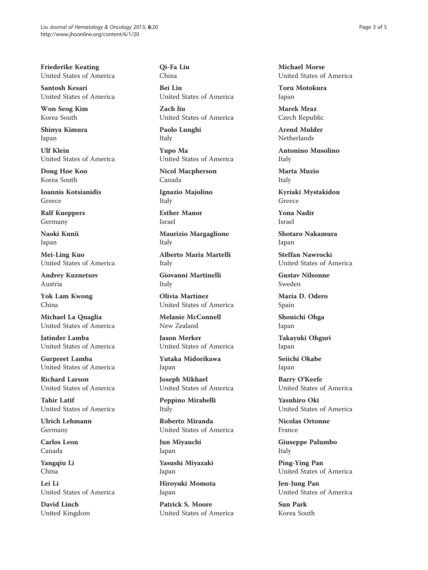Friederike Keating United States of America

Santosh Kesari United States of America

Won Seog Kim Korea South

Shinya Kimura Japan

Ulf Klein United States of America

Dong Hoe Koo Korea South

Ioannis Kotsianidis Greece

Ralf Kueppers Germany

Naoki Kunii Japan

Mei-Ling Kuo United States of America

Andrey Kuznetsov Austria

Yok Lam Kwong China

Michael La Quaglia United States of America

Jatinder Lamba United States of America

Gurpreet Lamba United States of America

Richard Larson United States of America

Tahir Latif United States of America

Ulrich Lehmann Germany

Carlos Leon Canada

Yangqiu Li China

Lei Li United States of America

David Linch United Kingdom Qi-Fa Liu China

Bei Liu United States of America

Zach liu United States of America

Paolo Lunghi Italy

Yupo Ma United States of America

Nicol Macpherson Canada

Ignazio Majolino Italy

Esther Manor Israel

Maurizio Margaglione Italy

Alberto Maria Martelli Italy

Giovanni Martinelli Italy

Olivia Martinez United States of America

Melanie McConnell New Zealand

Jason Merker United States of America

Yutaka Midorikawa Japan

Joseph Mikhael United States of America

Peppino Mirabelli Italy

Roberto Miranda United States of America

Jun Miyauchi Japan

Yasushi Miyazaki Japan

Hiroyuki Momota Japan

Patrick S. Moore United States of America Michael Morse United States of America

Toru Motokura Japan

Marek Mraz Czech Republic

Arend Mulder Netherlands

Antonino Musolino Italy

Marta Muzio Italy

Kyriaki Mystakidou Greece

Yona Nadir Israel

Shotaro Nakamura Japan

Steffan Nawrocki United States of America

Gustav Nilsonne Sweden

Maria D. Odero Spain

Shouichi Ohga Japan

Takayuki Ohguri Japan

Seiichi Okabe Japan

Barry O'Keefe United States of America

Yasuhiro Oki United States of America

Nicolas Ortonne France

Giuseppe Palumbo Italy

Ping-Ying Pan United States of America

Jen-Jung Pan United States of America

Sun Park Korea South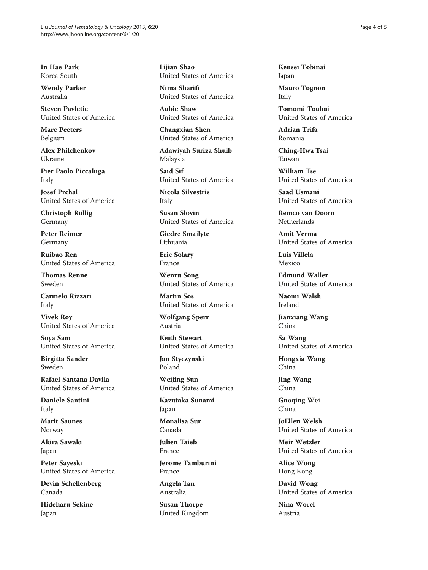In Hae Park Korea South

Wendy Parker Australia

Steven Pavletic United States of America

Marc Peeters Belgium

Alex Philchenkov Ukraine

Pier Paolo Piccaluga Italy

Josef Prchal United States of America

Christoph Röllig Germany

Peter Reimer Germany

Ruibao Ren United States of America

Thomas Renne Sweden

Carmelo Rizzari Italy

Vivek Roy United States of America

Soya Sam United States of America

Birgitta Sander Sweden

Rafael Santana Davila United States of America

Daniele Santini Italy

Marit Saunes Norway

Akira Sawaki Japan

Peter Sayeski United States of America

Devin Schellenberg Canada

Hideharu Sekine Japan

Lijian Shao United States of America

Nima Sharifi United States of America

Aubie Shaw United States of America

Changxian Shen United States of America

Adawiyah Suriza Shuib Malaysia

Said Sif United States of America

Nicola Silvestris Italy

Susan Slovin United States of America

Giedre Smailyte Lithuania

Eric Solary France

Wenru Song United States of America

Martin Sos United States of America

Wolfgang Sperr Austria

Keith Stewart United States of America

Jan Styczynski Poland

Weijing Sun United States of America

Kazutaka Sunami Japan

Monalisa Sur Canada

Julien Taieb France

Jerome Tamburini France

Angela Tan Australia

Susan Thorpe United Kingdom Kensei Tobinai Japan

Mauro Tognon Italy

Tomomi Toubai United States of America

Adrian Trifa Romania

Ching-Hwa Tsai Taiwan

William Tse United States of America

Saad Usmani United States of America

Remco van Doorn Netherlands

Amit Verma United States of America

Luis Villela Mexico

Edmund Waller United States of America

Naomi Walsh Ireland

Jianxiang Wang China

Sa Wang United States of America

Hongxia Wang China

Jing Wang China

Guoqing Wei China

JoEllen Welsh United States of America

Meir Wetzler United States of America

Alice Wong Hong Kong

David Wong United States of America

Nina Worel Austria